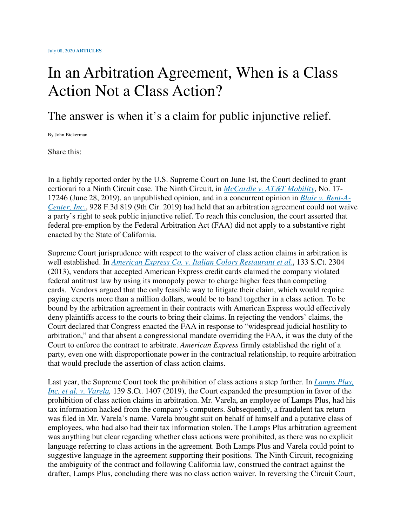## In an Arbitration Agreement, When is a Class Action Not a Class Action?

The answer is when it's a claim for public injunctive relief.

By John Bickerman

Share this:

In a lightly reported order by the U.S. Supreme Court on June 1st, the Court declined to grant certiorari to a Ninth Circuit case. The Ninth Circuit, in *McCardle v. AT&T Mobility*, No. 17- 17246 (June 28, 2019), an unpublished opinion, and in a concurrent opinion in *Blair v. Rent-A-Center, Inc.*, 928 F.3d 819 (9th Cir. 2019) had held that an arbitration agreement could not waive a party's right to seek public injunctive relief. To reach this conclusion, the court asserted that federal pre-emption by the Federal Arbitration Act (FAA) did not apply to a substantive right enacted by the State of California.

Supreme Court jurisprudence with respect to the waiver of class action claims in arbitration is well established. In *American Express Co. v. Italian Colors Restaurant et al.*, 133 S.Ct. 2304 (2013), vendors that accepted American Express credit cards claimed the company violated federal antitrust law by using its monopoly power to charge higher fees than competing cards. Vendors argued that the only feasible way to litigate their claim, which would require paying experts more than a million dollars, would be to band together in a class action. To be bound by the arbitration agreement in their contracts with American Express would effectively deny plaintiffs access to the courts to bring their claims. In rejecting the vendors' claims, the Court declared that Congress enacted the FAA in response to "widespread judicial hostility to arbitration," and that absent a congressional mandate overriding the FAA, it was the duty of the Court to enforce the contract to arbitrate. *American Express* firmly established the right of a party, even one with disproportionate power in the contractual relationship, to require arbitration that would preclude the assertion of class action claims.

Last year, the Supreme Court took the prohibition of class actions a step further. In *Lamps Plus, Inc. et al. v. Varela,* 139 S.Ct. 1407 (2019), the Court expanded the presumption in favor of the prohibition of class action claims in arbitration. Mr. Varela, an employee of Lamps Plus, had his tax information hacked from the company's computers. Subsequently, a fraudulent tax return was filed in Mr. Varela's name. Varela brought suit on behalf of himself and a putative class of employees, who had also had their tax information stolen. The Lamps Plus arbitration agreement was anything but clear regarding whether class actions were prohibited, as there was no explicit language referring to class actions in the agreement. Both Lamps Plus and Varela could point to suggestive language in the agreement supporting their positions. The Ninth Circuit, recognizing the ambiguity of the contract and following California law, construed the contract against the drafter, Lamps Plus, concluding there was no class action waiver. In reversing the Circuit Court,